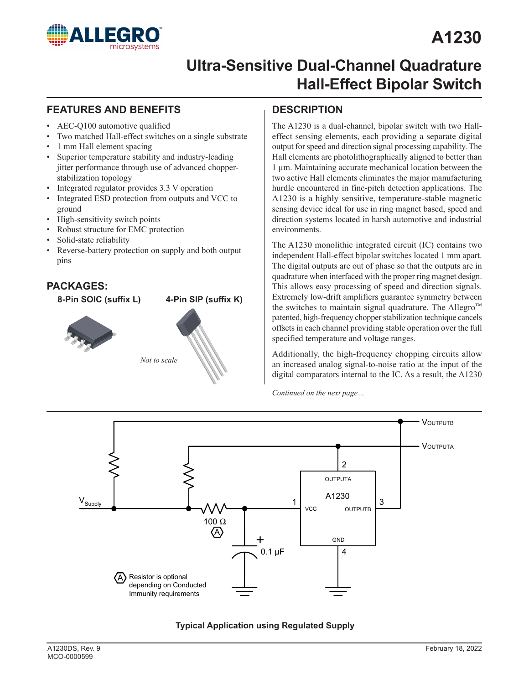

# **A1230**

### **Ultra-Sensitive Dual-Channel Quadrature Hall-Effect Bipolar Switch**

#### **FEATURES AND BENEFITS DESCRIPTION**

- AEC-Q100 automotive qualified
- Two matched Hall-effect switches on a single substrate
- 1 mm Hall element spacing
- Superior temperature stability and industry-leading jitter performance through use of advanced chopperstabilization topology
- Integrated regulator provides 3.3 V operation
- Integrated ESD protection from outputs and VCC to ground
- High-sensitivity switch points
- Robust structure for EMC protection
- Solid-state reliability
- Reverse-battery protection on supply and both output pins

# *Not to scale* **PACKAGES: 8-Pin SOIC (suffix L) 4-Pin SIP (suffix K)**

The A1230 is a dual-channel, bipolar switch with two Halleffect sensing elements, each providing a separate digital output for speed and direction signal processing capability. The Hall elements are photolithographically aligned to better than 1 µm. Maintaining accurate mechanical location between the two active Hall elements eliminates the major manufacturing hurdle encountered in fine-pitch detection applications. The A1230 is a highly sensitive, temperature-stable magnetic sensing device ideal for use in ring magnet based, speed and direction systems located in harsh automotive and industrial environments.

The A1230 monolithic integrated circuit (IC) contains two independent Hall-effect bipolar switches located 1 mm apart. The digital outputs are out of phase so that the outputs are in quadrature when interfaced with the proper ring magnet design. This allows easy processing of speed and direction signals. Extremely low-drift amplifiers guarantee symmetry between the switches to maintain signal quadrature. The Allegro<sup>™</sup> patented, high-frequency chopper stabilization technique cancels offsets in each channel providing stable operation over the full specified temperature and voltage ranges.

Additionally, the high-frequency chopping circuits allow an increased analog signal-to-noise ratio at the input of the digital comparators internal to the IC. As a result, the A1230

*Continued on the next page…*



**Typical Application using Regulated Supply**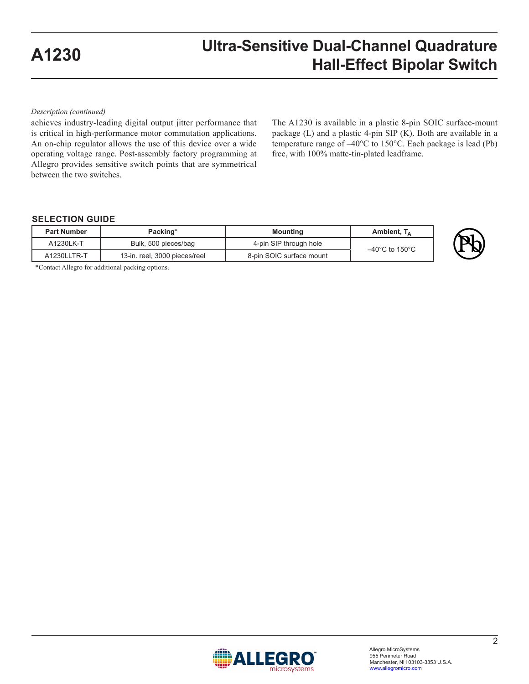*Description (continued)*

achieves industry-leading digital output jitter performance that is critical in high-performance motor commutation applications. An on-chip regulator allows the use of this device over a wide operating voltage range. Post-assembly factory programming at Allegro provides sensitive switch points that are symmetrical between the two switches.

The A1230 is available in a plastic 8-pin SOIC surface-mount package (L) and a plastic 4-pin SIP (K). Both are available in a temperature range of –40°C to 150°C. Each package is lead (Pb) free, with 100% matte-tin-plated leadframe.

#### **SELECTION GUIDE**

| <b>Part Number</b>                           | Packing*<br><b>Mounting</b> |                          | Ambient, $T_A$                      |
|----------------------------------------------|-----------------------------|--------------------------|-------------------------------------|
| A1230LK-T                                    | Bulk, 500 pieces/bag        | 4-pin SIP through hole   | $-40^{\circ}$ C to 150 $^{\circ}$ C |
| A1230LLTR-T<br>13-in. reel, 3000 pieces/reel |                             | 8-pin SOIC surface mount |                                     |

\*Contact Allegro for additional packing options.

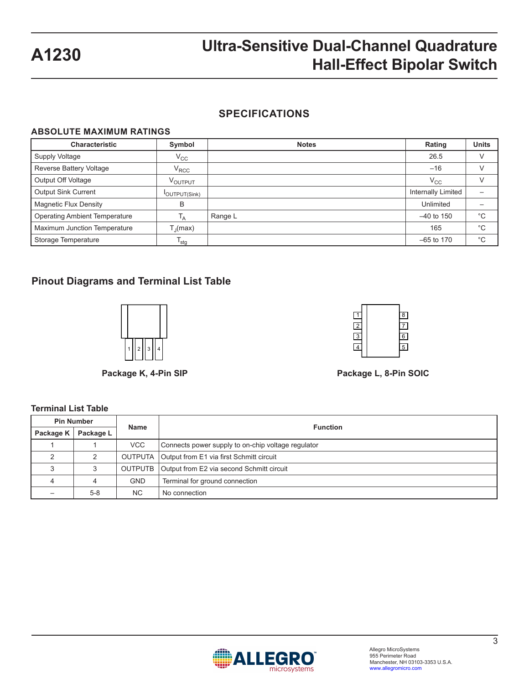#### **SPECIFICATIONS**

#### **ABSOLUTE MAXIMUM RATINGS**

| <b>Characteristic</b>                | Symbol              | <b>Notes</b> | Rating             | <b>Units</b> |
|--------------------------------------|---------------------|--------------|--------------------|--------------|
| Supply Voltage                       | $V_{\rm CC}$        |              | 26.5               | V            |
| Reverse Battery Voltage<br>$V_{RCC}$ |                     |              | $-16$              | $\vee$       |
| Output Off Voltage                   | V <sub>OUTPUT</sub> |              | $\rm V_{CC}$       | V            |
| <b>Output Sink Current</b>           | <b>OUTPUT(Sink)</b> |              | Internally Limited |              |
| <b>Magnetic Flux Density</b>         | B                   |              | Unlimited          |              |
| <b>Operating Ambient Temperature</b> | Т <sub>А</sub>      | Range L      | $-40$ to 150       | $^{\circ}$ C |
| Maximum Junction Temperature         | $T_{\rm J}$ (max)   |              | 165                | $^{\circ}C$  |
| Storage Temperature                  | $I_{\text{stg}}$    |              | $-65$ to 170       | $^{\circ}$ C |

#### **Pinout Diagrams and Terminal List Table**



**Terminal List Table**



**Package K, 4-Pin SIP Package L, 8-Pin SOIC**

#### **Pin Number Name Function Package K Package L** 1 | 1 | VCC | Connects power supply to on-chip voltage regulator 2 | 2 | OUTPUTA Output from E1 via first Schmitt circuit 3 | 3 | OUTPUTB Output from E2 via second Schmitt circuit 4 | 4 | GND | Terminal for ground connection – 5-8 NC No connection

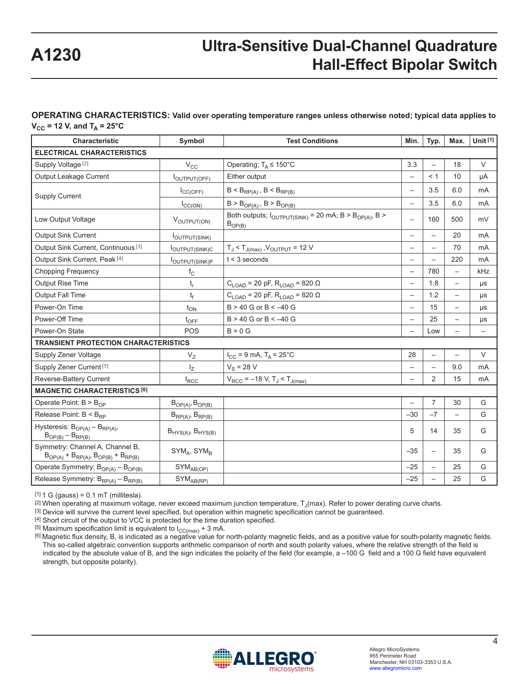### **OPERATING CHARACTERISTICS: Valid over operating temperature ranges unless otherwise noted; typical data applies to**

 $V_{CC}$  = 12 V, and T<sub>A</sub> = 25°C

| <b>Characteristic</b>                                                             | Symbol                     | <b>Test Conditions</b>                                                                       | Min.                     | Typ.                     | Max.                     | Unit $[1]$               |
|-----------------------------------------------------------------------------------|----------------------------|----------------------------------------------------------------------------------------------|--------------------------|--------------------------|--------------------------|--------------------------|
| <b>ELECTRICAL CHARACTERISTICS</b>                                                 |                            |                                                                                              |                          |                          |                          |                          |
| Supply Voltage <sup>[2]</sup>                                                     | $\rm V_{CC}$               | Operating; $T_A \le 150^{\circ}$ C                                                           | 3.3                      | $\overline{\phantom{0}}$ | 18                       | $\vee$                   |
| Output Leakage Current                                                            | <b>I</b> OUTPUT(OFF)       | Either output                                                                                |                          | < 1                      | 10                       | μA                       |
| <b>Supply Current</b>                                                             | $I_{\text{CC(OFF)}}$       | $B < B_{RP(A)}$ , $B < B_{RP(B)}$                                                            |                          | 3.5                      | 6.0                      | mA                       |
|                                                                                   | $I_{\text{CC(ON)}}$        | $B > B_{OP(A)}$ , $B > B_{OP(B)}$                                                            | $\overline{\phantom{0}}$ | 3.5                      | 6.0                      | mA                       |
| Low Output Voltage                                                                | VOUTPUT(ON)                | Both outputs; $I_{\text{OUTPUT(SINK)}}$ = 20 mA; B > B <sub>OP(A)</sub> , B ><br>$B_{OP(B)}$ | $\overline{\phantom{m}}$ | 160                      | 500                      | mV                       |
| <b>Output Sink Current</b>                                                        | <b>I</b> OUTPUT(SINK)      |                                                                                              |                          | $\overline{\phantom{0}}$ | 20                       | mA                       |
| Output Sink Current, Continuous <sup>[3]</sup>                                    | <b>loutput(SINK)C</b>      | $T_J < T_{J(max)}$ , $V_{OUTPUT} = 12 V$                                                     | $\overline{\phantom{0}}$ | $\overline{\phantom{0}}$ | 70                       | mA                       |
| Output Sink Current, Peak [4]                                                     | <b>l</b> OUTPUT(SINK)P     | $t < 3$ seconds                                                                              | $\overline{\phantom{0}}$ |                          | 220                      | mA                       |
| <b>Chopping Frequency</b>                                                         | $f_{\rm C}$                |                                                                                              | $\qquad \qquad -$        | 780                      | $\qquad \qquad -$        | kHz                      |
| Output Rise Time                                                                  | $t_r$                      | $C_{\text{LOAD}}$ = 20 pF, R <sub>LOAD</sub> = 820 $\Omega$                                  | $\overline{\phantom{0}}$ | 1.8                      | $\overline{\phantom{0}}$ | μs                       |
| <b>Output Fall Time</b>                                                           | t <sub>f</sub>             | $C_{LOAD}$ = 20 pF, R <sub>LOAD</sub> = 820 Ω                                                | $\qquad \qquad -$        | 1.2                      | $\qquad \qquad -$        | $\mu s$                  |
| Power-On Time                                                                     | $t_{ON}$                   | $B > 40$ G or $B < -40$ G                                                                    |                          | 15                       | $\qquad \qquad -$        | μs                       |
| Power-Off Time                                                                    | $t_{\text{OFF}}$           | $B > 40$ G or $B < -40$ G                                                                    | $\overline{\phantom{0}}$ | 25                       | $\qquad \qquad -$        | $\mu s$                  |
| Power-On State                                                                    | POS                        | $B = 0 G$                                                                                    | $\overline{\phantom{0}}$ | Low                      | $\qquad \qquad -$        | $\overline{\phantom{0}}$ |
| <b>TRANSIENT PROTECTION CHARACTERISTICS</b>                                       |                            |                                                                                              |                          |                          |                          |                          |
| Supply Zener Voltage                                                              | $V_{Z}$                    | $I_{CC}$ = 9 mA, $T_A$ = 25°C                                                                | 28                       | $\overline{\phantom{0}}$ | $\overline{\phantom{0}}$ | $\vee$                   |
| Supply Zener Current <sup>[5]</sup>                                               | $I_{Z}$                    | $V_S = 28 V$                                                                                 |                          | $\overline{\phantom{0}}$ | 9.0                      | mA                       |
| Reverse-Battery Current                                                           | $I_{RCC}$                  | $V_{RCC}$ = -18 V, T <sub>J</sub> < T <sub>J(max)</sub>                                      |                          | 2                        | 15                       | mA                       |
| <b>MAGNETIC CHARACTERISTICS [6]</b>                                               |                            |                                                                                              |                          |                          |                          |                          |
| Operate Point: $B > BOP$                                                          | $B_{OP(A)}$ , $B_{OP(B)}$  |                                                                                              |                          | $\overline{7}$           | 30                       | G                        |
| Release Point: $B < B_{RP}$                                                       | $B_{RP(A)}$ , $B_{RP(B)}$  |                                                                                              | $-30$                    | $-7$                     | $\overline{\phantom{0}}$ | G                        |
| Hysteresis: $B_{OP(A)} - B_{RP(A)}$ ,<br>$B_{OP(B)} - B_{RP(B)}$                  | $BHYS(A)$ , $BHYS(B)$      |                                                                                              | 5                        | 14                       | 35                       | G                        |
| Symmetry: Channel A, Channel B,<br>$B_{OP(A)} + B_{RP(A)}, B_{OP(B)} + B_{RP(B)}$ | $SYM_A$ , SYM <sub>B</sub> |                                                                                              | $-35$                    | $\overline{\phantom{0}}$ | 35                       | G                        |
| Operate Symmetry: $B_{OP(A)} - B_{OP(B)}$                                         | SYM <sub>AB(OP)</sub>      |                                                                                              | $-25$                    | $\overline{\phantom{0}}$ | 25                       | G                        |
| Release Symmetry: $B_{RP(A)} - B_{RP(B)}$                                         | SYM <sub>AB(RP)</sub>      |                                                                                              | $-25$                    |                          | 25                       | G                        |

 $[1]$  1 G (gauss) = 0.1 mT (millitesla).

 $[2]$  When operating at maximum voltage, never exceed maximum junction temperature,  $T_{\text{J}}(max)$ . Refer to power derating curve charts.

[3] Device will survive the current level specified, but operation within magnetic specification cannot be guaranteed.

[4] Short circuit of the output to VCC is protected for the time duration specified.

[5] Maximum specification limit is equivalent to  $I_{CC(max)} + 3$  mA.

[6] Magnetic flux density, B, is indicated as a negative value for north-polarity magnetic fields, and as a positive value for south-polarity magnetic fields. This so-called algebraic convention supports arithmetic comparison of north and south polarity values, where the relative strength of the field is indicated by the absolute value of B, and the sign indicates the polarity of the field (for example, a –100 G field and a 100 G field have equivalent strength, but opposite polarity).

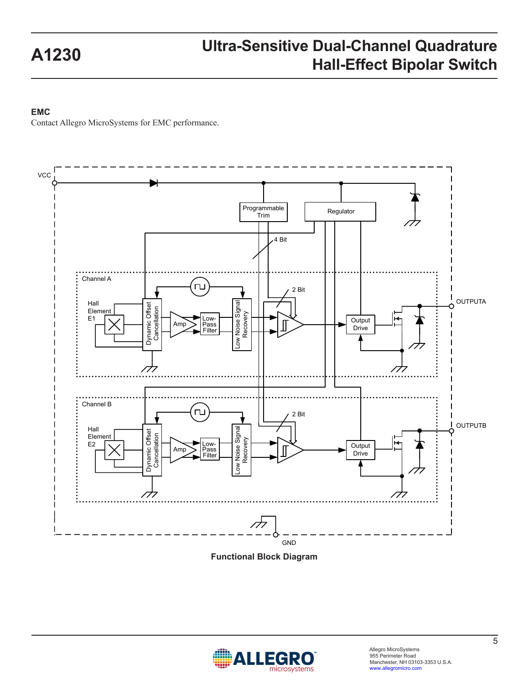#### **EMC**

Contact Allegro MicroSystems for EMC performance.



**Functional Block Diagram**

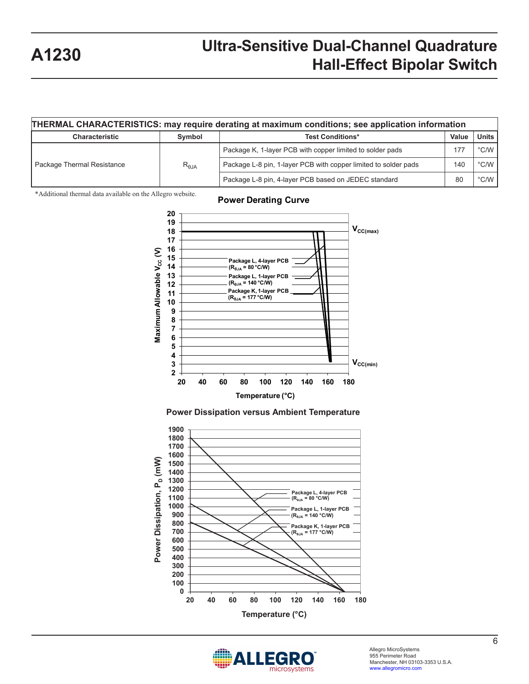|                                                                                                                                                          |                                                                                                                                                                                                                                                                                                         | THERMAL CHARACTERISTICS: may require derating at maximum conditions; see application information                                                                                                                                                                                                                                                                                                                                                                                                                                                                                                                                            |     |                |
|----------------------------------------------------------------------------------------------------------------------------------------------------------|---------------------------------------------------------------------------------------------------------------------------------------------------------------------------------------------------------------------------------------------------------------------------------------------------------|---------------------------------------------------------------------------------------------------------------------------------------------------------------------------------------------------------------------------------------------------------------------------------------------------------------------------------------------------------------------------------------------------------------------------------------------------------------------------------------------------------------------------------------------------------------------------------------------------------------------------------------------|-----|----------------|
| Characteristic                                                                                                                                           | Symbol                                                                                                                                                                                                                                                                                                  | <b>Test Conditions*</b>                                                                                                                                                                                                                                                                                                                                                                                                                                                                                                                                                                                                                     |     | <b>Units</b>   |
|                                                                                                                                                          |                                                                                                                                                                                                                                                                                                         | Package K, 1-layer PCB with copper limited to solder pads                                                                                                                                                                                                                                                                                                                                                                                                                                                                                                                                                                                   | 177 | $^{\circ}$ C/W |
| Package Thermal Resistance                                                                                                                               | $R_{\theta JA}$                                                                                                                                                                                                                                                                                         | Package L-8 pin, 1-layer PCB with copper limited to solder pads                                                                                                                                                                                                                                                                                                                                                                                                                                                                                                                                                                             | 140 | $\degree$ C/W  |
|                                                                                                                                                          |                                                                                                                                                                                                                                                                                                         | Package L-8 pin, 4-layer PCB based on JEDEC standard                                                                                                                                                                                                                                                                                                                                                                                                                                                                                                                                                                                        | 80  | $^{\circ}$ C/W |
| *Additional thermal data available on the Allegro website.<br>Maximum Allowable V <sub>cc</sub> (V)<br>on, P <sub>D</sub> (mW)<br><b>Power Dissipati</b> | 20<br>19<br>18<br>17<br>16<br>15<br>14<br>13<br>12<br>11<br>10<br>9<br>8<br>$\overline{7}$<br>6<br>5<br>4<br>3<br>2<br>${\bf 20}$<br>40<br>1900<br>1800<br>1700<br>1600<br>1500<br>1400<br>1300<br>1200<br>1100<br>1000<br>900<br>800<br>700<br>600<br>500<br>400<br>300<br>200<br>100<br>0<br>20<br>40 | <b>Power Derating Curve</b><br>$V_{CC(max)}$<br>Package L, 4-layer PCB<br>$(R_{\theta JA} = 80 °C/W)$<br>Package L, 1-layer PCB<br>$(R_{\theta JA} = 140 °C/W)$<br>Package K, 1-layer PCB<br>$(R_{\theta_{\text{JA}}} = 177^{\circ}$ C/W)<br>$V_{CC(min)}$<br>80<br>100<br>120<br>140<br>180<br>60<br>160<br>Temperature (°C)<br><b>Power Dissipation versus Ambient Temperature</b><br>Package L, 4-layer PCB<br>$(R_{\theta JA} = 80 °C/W)$<br>Package L, 1-layer PCB<br>$(R_{\theta JA} = 140 °C/W)$<br>Package K, 1-layer PCB<br>$(R_{\theta JA} = 177 \degree C/W)$<br>60<br>80<br>100<br>120<br>140<br>160<br>180<br>Temperature (°C) |     |                |

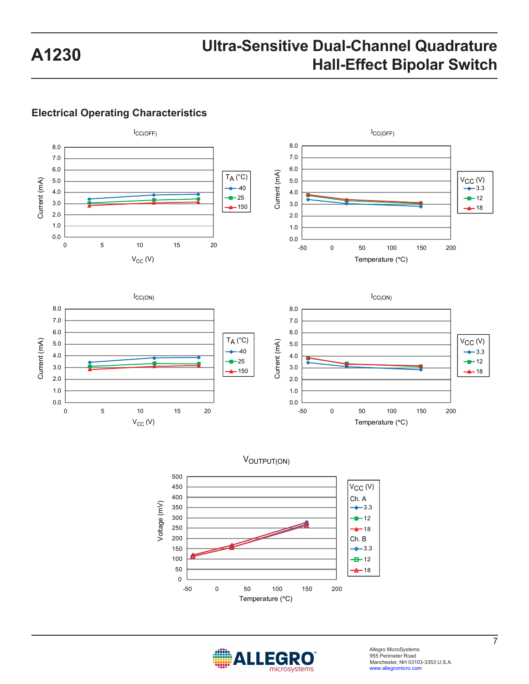#### **Electrical Operating Characteristics**







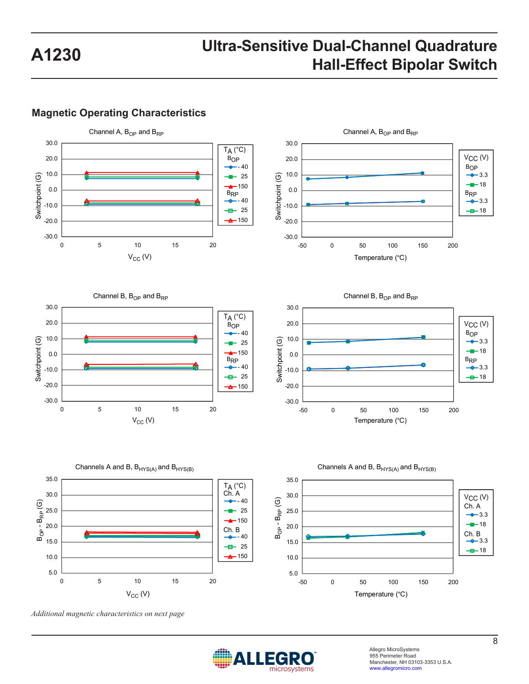#### **Magnetic Operating Characteristics**











*Additional magnetic characteristics on next page*



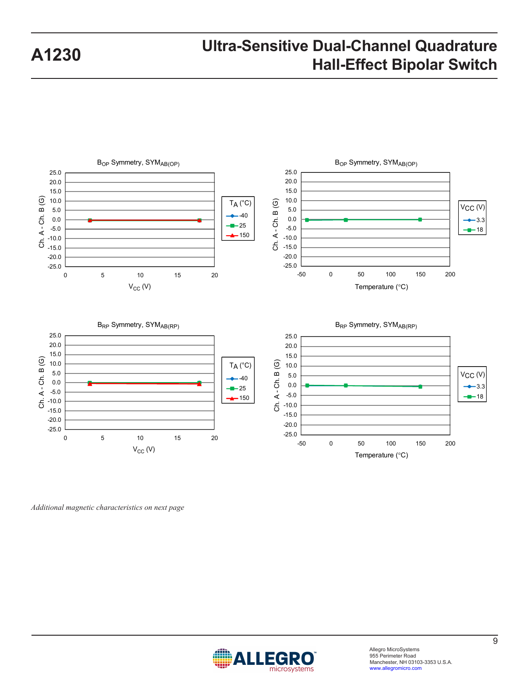

*Additional magnetic characteristics on next page*

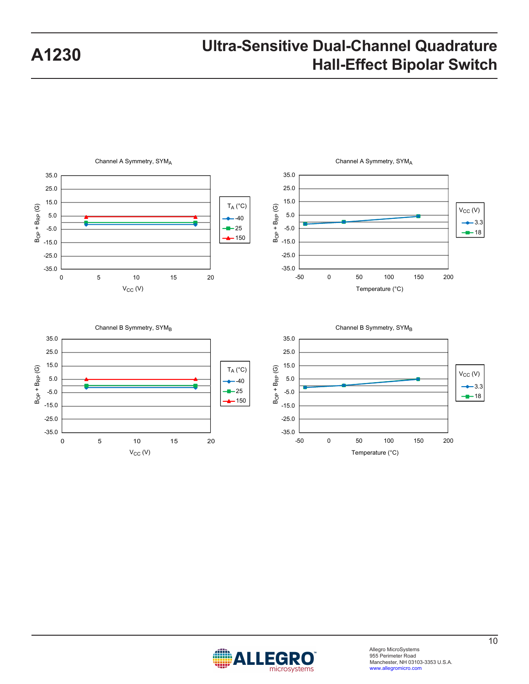



#### Channel B Symmetry, SYMB 35.0 25.0 15.0  $B_{OP} + B_{RP}$  (G)  $B_{\text{OP}} + B_{\text{RP}}$  (G) 5.0 -40 ÷  $-25$ -5.0 150 -15.0 -25.0 -35.0 0 5 10 15 20



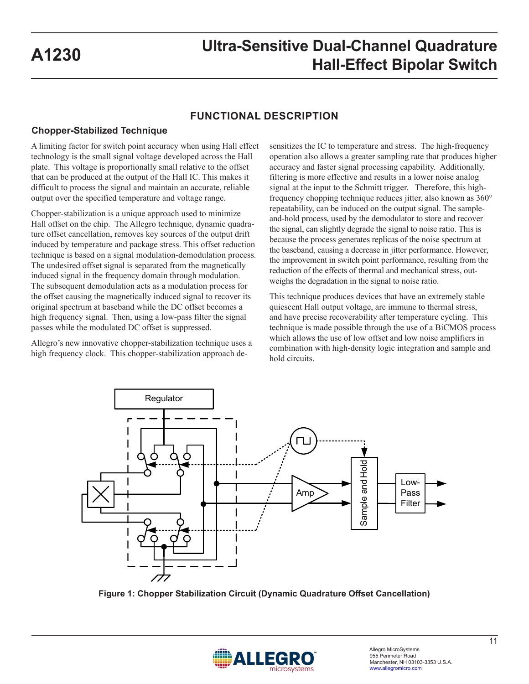#### **FUNCTIONAL DESCRIPTION**

#### **Chopper-Stabilized Technique**

A limiting factor for switch point accuracy when using Hall effect technology is the small signal voltage developed across the Hall plate. This voltage is proportionally small relative to the offset that can be produced at the output of the Hall IC. This makes it difficult to process the signal and maintain an accurate, reliable output over the specified temperature and voltage range.

Chopper-stabilization is a unique approach used to minimize Hall offset on the chip. The Allegro technique, dynamic quadrature offset cancellation, removes key sources of the output drift induced by temperature and package stress. This offset reduction technique is based on a signal modulation-demodulation process. The undesired offset signal is separated from the magnetically induced signal in the frequency domain through modulation. The subsequent demodulation acts as a modulation process for the offset causing the magnetically induced signal to recover its original spectrum at baseband while the DC offset becomes a high frequency signal. Then, using a low-pass filter the signal passes while the modulated DC offset is suppressed.

Allegro's new innovative chopper-stabilization technique uses a high frequency clock. This chopper-stabilization approach desensitizes the IC to temperature and stress. The high-frequency operation also allows a greater sampling rate that produces higher accuracy and faster signal processing capability. Additionally, filtering is more effective and results in a lower noise analog signal at the input to the Schmitt trigger. Therefore, this highfrequency chopping technique reduces jitter, also known as 360° repeatability, can be induced on the output signal. The sampleand-hold process, used by the demodulator to store and recover the signal, can slightly degrade the signal to noise ratio. This is because the process generates replicas of the noise spectrum at the baseband, causing a decrease in jitter performance. However, the improvement in switch point performance, resulting from the reduction of the effects of thermal and mechanical stress, outweighs the degradation in the signal to noise ratio.

This technique produces devices that have an extremely stable quiescent Hall output voltage, are immune to thermal stress, and have precise recoverability after temperature cycling. This technique is made possible through the use of a BiCMOS process which allows the use of low offset and low noise amplifiers in combination with high-density logic integration and sample and hold circuits.



**Figure 1: Chopper Stabilization Circuit (Dynamic Quadrature Offset Cancellation)** 

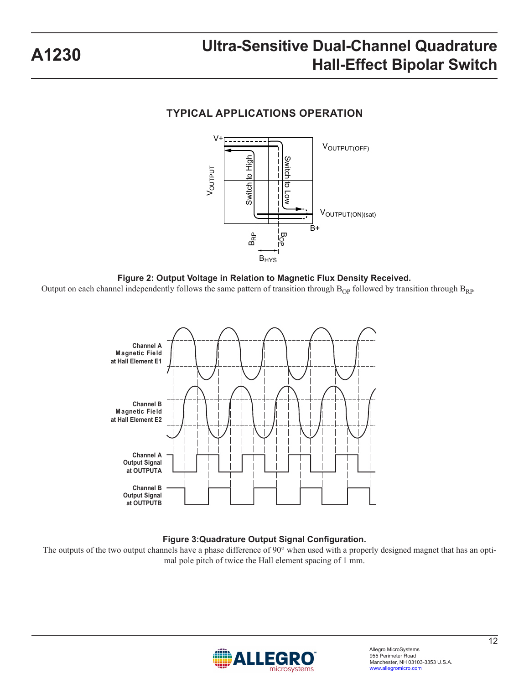### **TYPICAL APPLICATIONS OPERATION**







#### **Figure 3:Quadrature Output Signal Configuration.**

The outputs of the two output channels have a phase difference of 90° when used with a properly designed magnet that has an optimal pole pitch of twice the Hall element spacing of 1 mm.

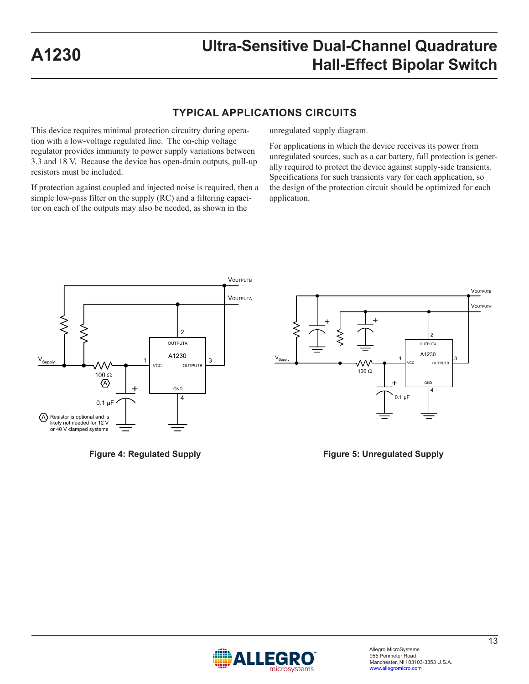#### **TYPICAL APPLICATIONS CIRCUITS**

This device requires minimal protection circuitry during operation with a low-voltage regulated line. The on-chip voltage regulator provides immunity to power supply variations between 3.3 and 18 V. Because the device has open-drain outputs, pull-up resistors must be included.

If protection against coupled and injected noise is required, then a simple low-pass filter on the supply (RC) and a filtering capacitor on each of the outputs may also be needed, as shown in the

unregulated supply diagram.

For applications in which the device receives its power from unregulated sources, such as a car battery, full protection is generally required to protect the device against supply-side transients. Specifications for such transients vary for each application, so the design of the protection circuit should be optimized for each application.



**Figure 4: Regulated Supply**

**Figure 5: Unregulated Supply**

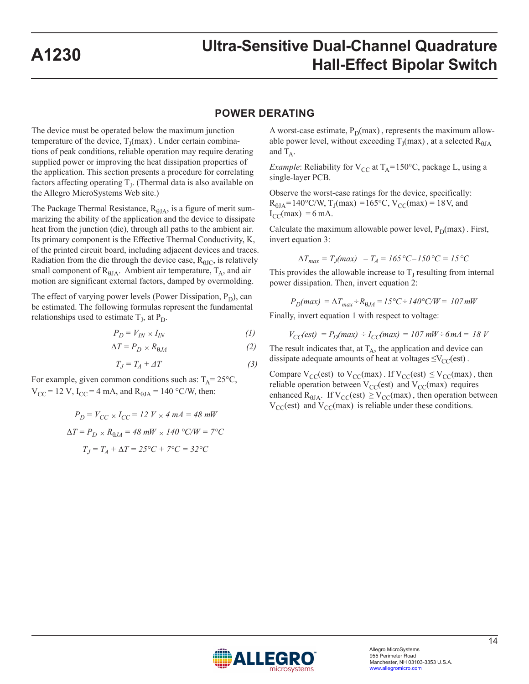#### **POWER DERATING**

The device must be operated below the maximum junction temperature of the device,  $T_I(max)$ . Under certain combinations of peak conditions, reliable operation may require derating supplied power or improving the heat dissipation properties of the application. This section presents a procedure for correlating factors affecting operating  $T<sub>L</sub>$ . (Thermal data is also available on the Allegro MicroSystems Web site.)

The Package Thermal Resistance,  $R_{\theta JA}$ , is a figure of merit summarizing the ability of the application and the device to dissipate heat from the junction (die), through all paths to the ambient air. Its primary component is the Effective Thermal Conductivity, K, of the printed circuit board, including adjacent devices and traces. Radiation from the die through the device case,  $R_{\theta$ JC, is relatively small component of  $R_{\theta JA}$ . Ambient air temperature,  $T_A$ , and air motion are significant external factors, damped by overmolding.

The effect of varying power levels (Power Dissipation,  $P_D$ ), can be estimated. The following formulas represent the fundamental relationships used to estimate  $T_J$ , at  $P_D$ .

$$
P_D = V_{IN} \times I_{IN} \tag{1}
$$

$$
\Delta T = P_D \times R_{\theta J A} \tag{2}
$$

$$
T_J = T_A + \varDelta T \tag{3}
$$

For example, given common conditions such as:  $T_A = 25^{\circ}C$ ,  $V_{CC}$  = 12 V, I<sub>CC</sub> = 4 mA, and R<sub> $\theta$ JA</sub> = 140 °C/W, then:

$$
P_D = V_{CC} \times I_{CC} = 12 \ V \times 4 \ mA = 48 \ mW
$$
  
\n
$$
\Delta T = P_D \times R_{0JA} = 48 \ mW \times 140 \ ^\circ \text{C/W} = 7 \ ^\circ \text{C}
$$
  
\n
$$
T_J = T_A + \Delta T = 25 \ ^\circ \text{C} + 7 \ ^\circ \text{C} = 32 \ ^\circ \text{C}
$$

A worst-case estimate,  $P_D(max)$ , represents the maximum allowable power level, without exceeding  $T_J(max)$ , at a selected  $R_{\theta JA}$ and  $T_A$ .

*Example*: Reliability for  $V_{CC}$  at  $T_A = 150$ °C, package L, using a single-layer PCB.

Observe the worst-case ratings for the device, specifically:  $R_{\text{HJA}} = 140^{\circ}$ C/W, T<sub>J</sub>(max) = 165°C, V<sub>CC</sub>(max) = 18V, and  $I_{CC}(max) = 6$  mA.

Calculate the maximum allowable power level,  $P_D(max)$ . First, invert equation 3:

$$
\Delta T_{max} = T_J(max) - T_A = 165 \,^{\circ}C - 150 \,^{\circ}C = 15 \,^{\circ}C
$$

This provides the allowable increase to  $T<sub>J</sub>$  resulting from internal power dissipation. Then, invert equation 2:

$$
P_D(max) = \Delta T_{max} + R_{0JA} = 15^{\circ}C + 140^{\circ}C/W = 107 \, \text{mW}
$$

Finally, invert equation 1 with respect to voltage:

$$
V_{CC}(est) = P_D(max) \div I_{CC}(max) = 107 \, \text{mW} \div 6 \, \text{mA} = 18 \, \text{V}
$$

The result indicates that, at  $T_A$ , the application and device can dissipate adequate amounts of heat at voltages  $\leq$ V<sub>CC</sub>(est).

Compare  $V_{CC}(est)$  to  $V_{CC}(max)$ . If  $V_{CC}(est) \leq V_{CC}(max)$ , then reliable operation between  $V_{CC}(est)$  and  $V_{CC}(max)$  requires enhanced R<sub>θJA</sub>. If  $V_{CC}(est) \geq V_{CC}(max)$ , then operation between  $V_{CC}$ (est) and  $V_{CC}$ (max) is reliable under these conditions.

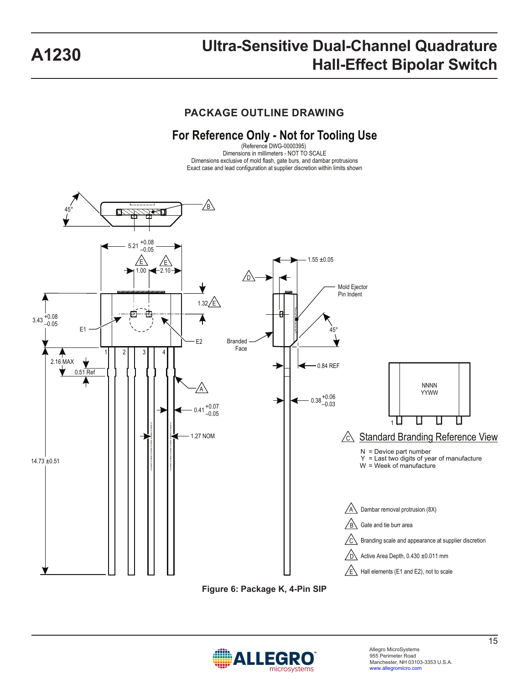**PACKAGE OUTLINE DRAWING**

### **For Reference Only - Not for Tooling Use**

(Reference DWG-0000395) Dimensions in millimeters - NOT TO SCALE Dimensions exclusive of mold flash, gate burs, and dambar protrusions Exact case and lead configuration at supplier discretion within limits shown



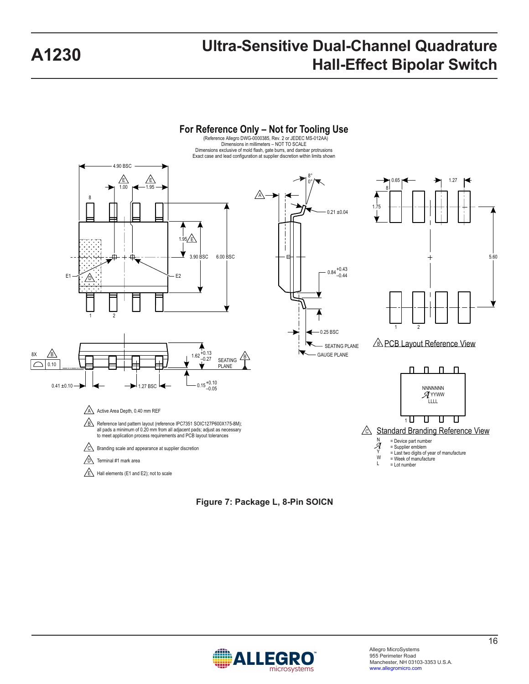